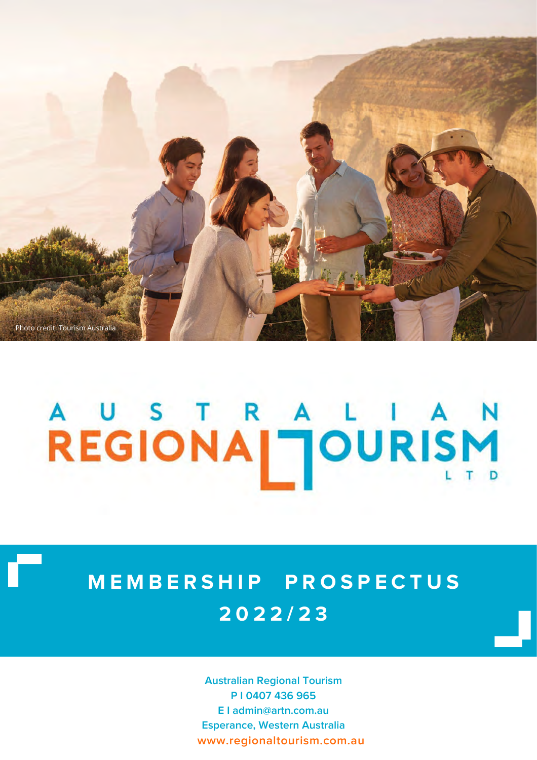

# A U S T R A L I A N<br>REGIONA | JOURISM

# **M E M B E R S H I P P R O S P E C T U S 2 0 2 2 / 2 3**

**Australian Regional Tourism P I 0407 436 965 E I admin@artn.com.au Esperance, Western Australia www.regionaltourism.com.au**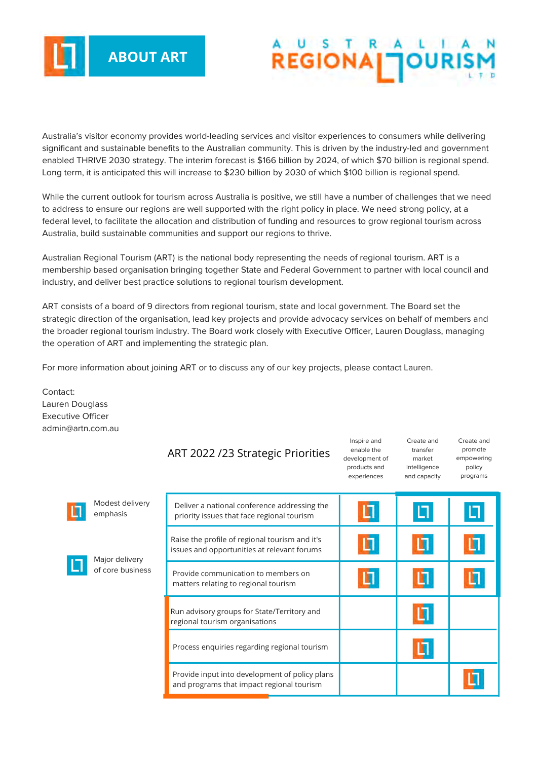

# **REGIONA**

Inspire and

Create and

Create and

Australia's visitor economy provides world-leading services and visitor experiences to consumers while delivering significant and sustainable benefits to the Australian community. This is driven by the industry-led and government enabled THRIVE 2030 strategy. The interim forecast is \$166 billion by 2024, of which \$70 billion is regional spend. Long term, it is anticipated this will increase to \$230 billion by 2030 of which \$100 billion is regional spend.

While the current outlook for tourism across Australia is positive, we still have a number of challenges that we need to address to ensure our regions are well supported with the right policy in place. We need strong policy, at a federal level, to facilitate the allocation and distribution of funding and resources to grow regional tourism across Australia, build sustainable communities and support our regions to thrive.

Australian Regional Tourism (ART) is the national body representing the needs of regional tourism. ART is a membership based organisation bringing together State and Federal Government to partner with local council and industry, and deliver best practice solutions to regional tourism development.

ART consists of a board of 9 directors from regional tourism, state and local government. The Board set the strategic direction of the organisation, lead key projects and provide advocacy services on behalf of members and the broader regional tourism industry. The Board work closely with Executive Officer, Lauren Douglass, managing the operation of ART and implementing the strategic plan.

For more information about joining ART or to discuss any of our key projects, please contact Lauren.

Contact: Lauren Douglass Executive Officer admin@artn.com.au

|                                    | ART 2022 /23 Strategic Priorities                                                             | enable the<br>development of<br>products and<br>experiences | transfer<br>market<br>intelligence<br>and capacity | promote<br>empowering<br>policy<br>programs |
|------------------------------------|-----------------------------------------------------------------------------------------------|-------------------------------------------------------------|----------------------------------------------------|---------------------------------------------|
| Modest delivery<br>emphasis        | Deliver a national conference addressing the<br>priority issues that face regional tourism    |                                                             |                                                    | Ц                                           |
| Major delivery<br>of core business | Raise the profile of regional tourism and it's<br>issues and opportunities at relevant forums |                                                             |                                                    |                                             |
|                                    | Provide communication to members on<br>matters relating to regional tourism                   |                                                             |                                                    |                                             |
|                                    | Run advisory groups for State/Territory and<br>regional tourism organisations                 |                                                             |                                                    |                                             |
|                                    | Process enquiries regarding regional tourism                                                  |                                                             |                                                    |                                             |
|                                    | Provide input into development of policy plans<br>and programs that impact regional tourism   |                                                             |                                                    |                                             |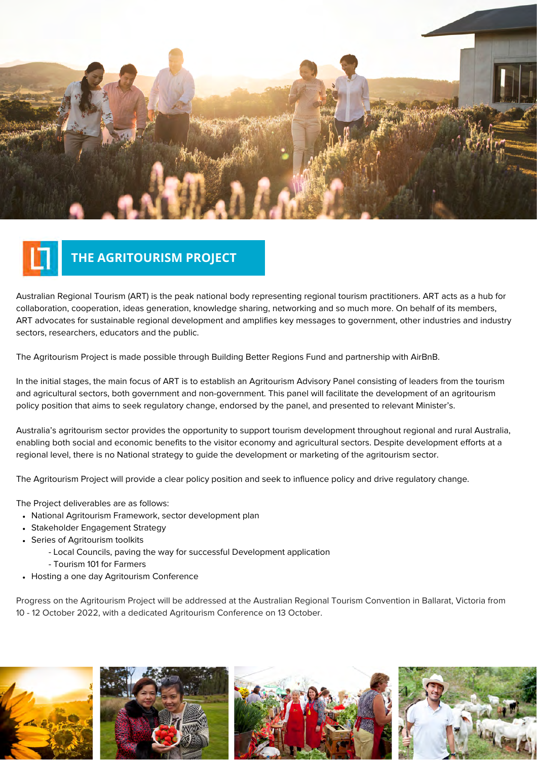

## **THE AGRITOURISM PROJECT**

Australian Regional Tourism (ART) is the peak national body representing regional tourism practitioners. ART acts as a hub for collaboration, cooperation, ideas generation, knowledge sharing, networking and so much more. On behalf of its members, ART advocates for sustainable regional development and amplifies key messages to government, other industries and industry sectors, researchers, educators and the public.

The Agritourism Project is made possible through Building Better Regions Fund and partnership with AirBnB.

In the initial stages, the main focus of ART is to establish an Agritourism Advisory Panel consisting of leaders from the tourism and agricultural sectors, both government and non-government. This panel will facilitate the development of an agritourism policy position that aims to seek regulatory change, endorsed by the panel, and presented to relevant Minister's.

Australia's agritourism sector provides the opportunity to support tourism development throughout regional and rural Australia, enabling both social and economic benefits to the visitor economy and agricultural sectors. Despite development efforts at a regional level, there is no National strategy to guide the development or marketing of the agritourism sector.

The Agritourism Project will provide a clear policy position and seek to influence policy and drive regulatory change.

The Project deliverables are as follows:

- National Agritourism Framework, sector development plan
- Stakeholder Engagement Strategy
- Series of Agritourism toolkits
	- Local Councils, paving the way for successful Development application
	- Tourism 101 for Farmers
- Hosting a one day Agritourism Conference

Progress on the Agritourism Project will be addressed at the Australian Regional Tourism Convention in Ballarat, Victoria from 10 - 12 October 2022, with a dedicated Agritourism Conference on 13 October.

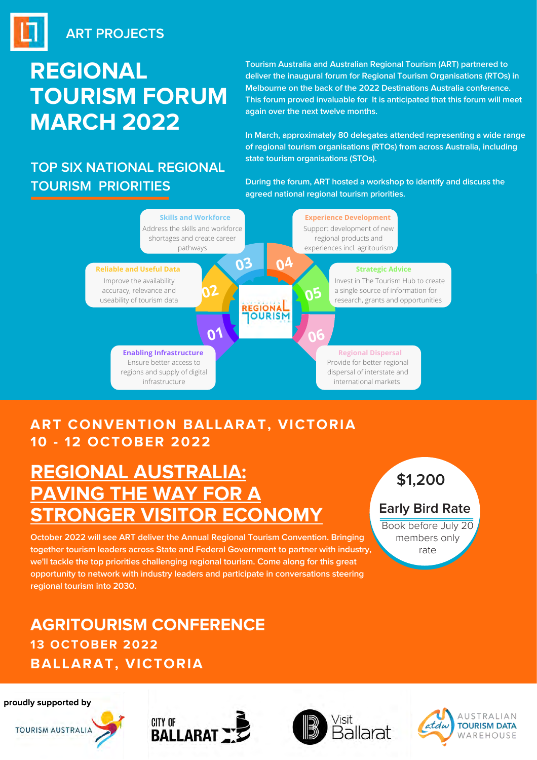# **REGIONAL TOURISM FORUM MARCH 2022**

## **TOP SIX NATIONAL REGIONAL TOURISM PRIORITIES**

**Tourism Australia and Australian Regional Tourism (ART) partnered to deliver the inaugural forum for Regional Tourism Organisations (RTOs) in Melbourne on the back of the 2022 Destinations Australia conference. This forum proved invaluable for It is anticipated that this forum will meet again over the next twelve months.**

**In March, approximately 80 delegates attended representing a wide range of regional tourism organisations (RTOs) from across Australia, including state tourism organisations (STOs).**

**During the forum, ART hosted a workshop to identify and discuss the agreed national regional tourism priorities.**



### **ART PROJECTS ART CONVENTION BALLARAT, VICTORIA 10 - 12 OCTOBER 2022**

# **REGIONAL AUSTRALIA: PAVING THE WAY FOR A STRONGER VISITOR ECONOMY** Early Bird Rate

**October 2022 will see ART deliver the Annual Regional Tourism Convention. Bringing together tourism leaders across State and Federal Government to partner with industry, we'll tackle the top priorities challenging regional tourism. Come along for this great opportunity to network with industry leaders and participate in conversations steering regional tourism into 2030.**

### **AGRITOURISM CONFERENCE 13 OCTOBER 2022 BALLARAT, VICTORIA**

# **\$1,200**

Book before July 20 members only rate

#### **proudly supported by**







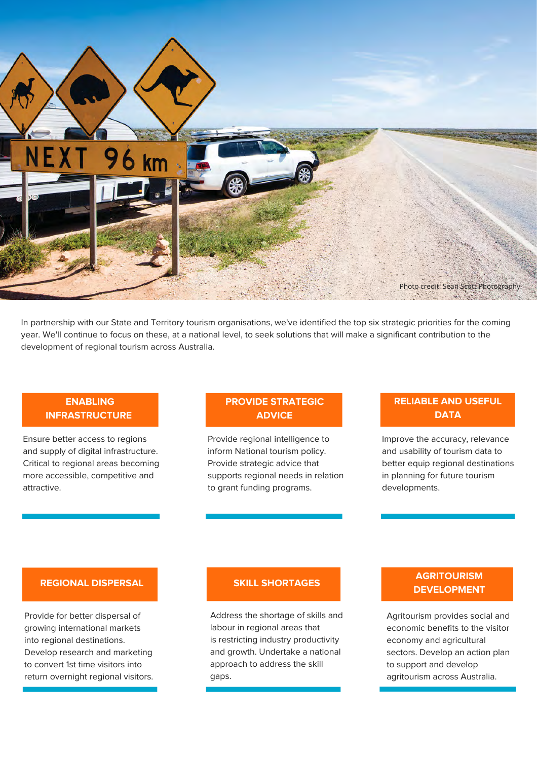

In partnership with our State and Territory tourism organisations, we've identified the top six strategic priorities for the coming year. We'll continue to focus on these, at a national level, to seek solutions that will make a significant contribution to the development of regional tourism across Australia.

#### **ENABLING INFRASTRUCTURE**

Ensure better access to regions and supply of digital infrastructure. Critical to regional areas becoming more accessible, competitive and attractive.

#### **PROVIDE STRATEGIC ADVICE**

Provide regional intelligence to inform National tourism policy. Provide strategic advice that supports regional needs in relation to grant funding programs.

#### **RELIABLE AND USEFUL DATA**

Improve the accuracy, relevance and usability of tourism data to better equip regional destinations in planning for future tourism developments.

#### **REGIONAL DISPERSAL**

Provide for better dispersal of growing international markets into regional destinations. Develop research and marketing to convert 1st time visitors into return overnight regional visitors.

Address the shortage of skills and labour in regional areas that is restricting industry productivity and growth. Undertake a national approach to address the skill gaps.

#### **AGRITOURISM DEVELOPMENT** SKILL SHORTAGES

Agritourism provides social and economic benefits to the visitor economy and agricultural sectors. Develop an action plan to support and develop agritourism across Australia.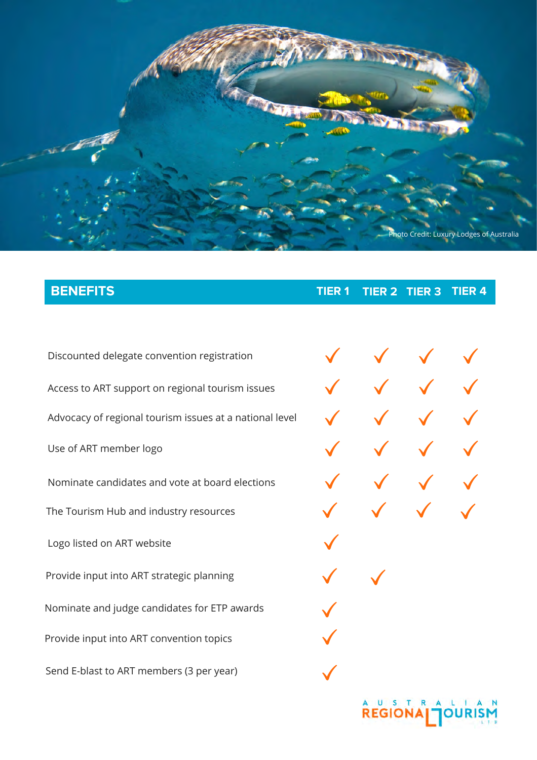

**BENEFITS TIER 1 TIER 2 TIER 3 TIER 4**

Discounted delegate convention registration Access to ART support on regional tourism issues Use of ART member logo Nominate candidates and vote at board elections Nominate and judge candidates for ETP awards Advocacy of regional tourism issues at a national level Send E-blast to ART members (3 per year) Logo listed on ART website Provide input into ART strategic planning Provide input into ART convention topics The Tourism Hub and industry resources

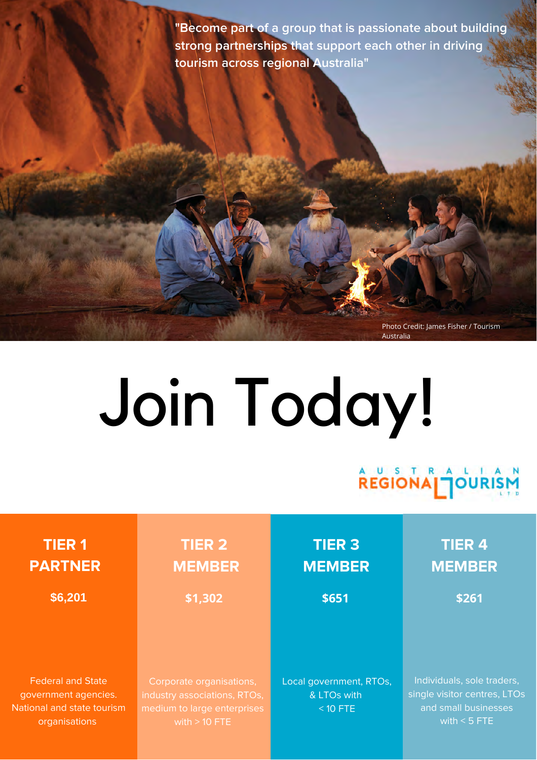**"Become part of a group that is passionate about building strong partnerships that support each other in driving tourism across regional Australia"**

> Photo Credit: James Fisher / Tourism Australia

# Join Today!

**REGIONA TOURIS** 

| <b>TIER 1</b><br><b>PARTNER</b> | <b>TIER 2</b><br><b>MEMBER</b> | <b>TIER 3</b><br><b>MEMBER</b> | <b>TIER 4</b><br><b>MEMBER</b> |
|---------------------------------|--------------------------------|--------------------------------|--------------------------------|
| \$6,201                         | \$1,302                        | \$651                          | \$261                          |
|                                 |                                |                                |                                |
| <b>Federal and State</b>        | Corporate organisations,       | Local government, RTOs,        | Individuals, sole traders,     |
| government agencies.            | industry associations, RTOs,   | & LTOs with                    | single visitor centres, LTOs   |
| National and state tourism      | medium to large enterprises    | $<$ 10 FTE                     | and small businesses           |
| organisations                   | with $> 10$ FTE                |                                | with $<$ 5 FTE                 |